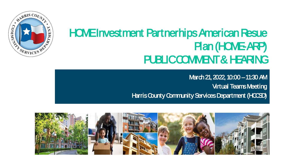

### HOME Investment Partnerhips American Resue Plan (HOME-ARP) PUBLIC COMMENT & HEARING

March 21, 2022, 10:00 - 11:30 AM Virtual Teams Meeting Harris County Community Services Department (HCCSD)

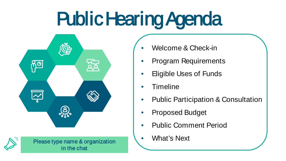### Public Hearing Agenda



Please type name & organization **Acceleration** What's Next in the chat

• Welcome & Check-in

- Program Requirements
- Eligible Uses of Funds
- Timeline
- Public Participation & Consultation
- Proposed Budget
- Public Comment Period
-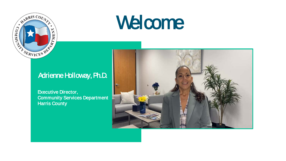

### Welcome

### Adrienne Holloway, Ph.D.

Executive Director, Community Services Department Harris County

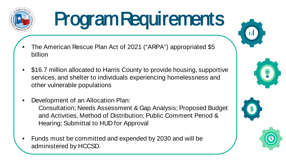

# Program Requirements

- The American Rescue Plan Act of 2021 ("ARPA") appropriated \$5 billion
- \$16.7 million allocated to Harris County to provide housing, supportive services, and shelter to individuals experiencing homelessness and other vulnerable populations
- Development of an Allocation Plan:

Consultation; Needs Assessment & Gap Analysis; Proposed Budget and Activities, Method of Distribution; Public Comment Period & Hearing; Submittal to HUD for Approval

• Funds must be committed and expended by 2030 and will be administered by HCCSD.







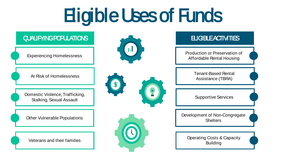### Eligible Uses of Funds

#### QUALIFYING POPULATIONS

Experiencing Homelessness

At Risk of Homelessness

Domestic Violence, Trafficking, Stalking, Sexual Assault

Other Vulnerable Populations







#### **ELIGBLE ACTIVITIES**

Production or Preservation of Affordable Rental Housing

> Tenant-Based Rental Assistance (TBRA)

Supportive Services

Development of Non-Congregate **Shelters** 

Veterans and their families **Operation** Operating Costs & Capacity Building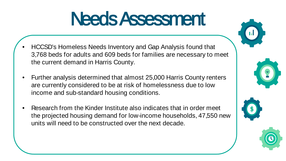### Needs Assessment

- HCCSD's Homeless Needs Inventory and Gap Analysis found that 3,768 beds for adults and 609 beds for families are necessary to meet the current demand in Harris County.
- Further analysis determined that almost 25,000 Harris County renters are currently considered to be at risk of homelessness due to low income and sub-standard housing conditions.
- Research from the Kinder Institute also indicates that in order meet the projected housing demand for low-income households, 47,550 new units will need to be constructed over the next decade.





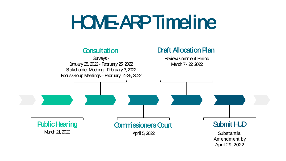### HOME-ARP Timeline



Amendment by April 29, 2022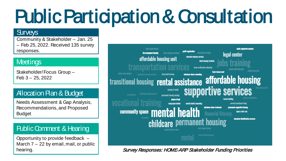### Public Participation & Consultation

#### **Surveys**

Community & Stakeholder – Jan. 25 – Feb 25, 2022. Received 135 survey responses.

#### **Meetings**

Stakeholder/Focus Group – Feb 3 – 25, 2022

#### Allocation Plan & Budget

Needs Assessment & Gap Analysis, Recommendations, and Proposed Budget

#### Public Comment & Hearing

Opportunity to provide feedback – March 7 – 22 by email, mail, or public hearing.



#### Survey Responses: HOME-ARP Stakeholder Funding Priorities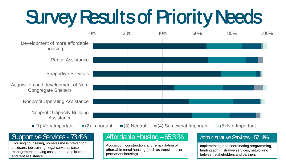### Survey Results of Priority Needs



#### Supportive Services - 73.4%

Housing counseling, homelessness prevention, childcare, job training, legal services, case management, moving costs, rental applications, and rent assistance

#### Affordable Housing –65.31%

Acquisition, construction, and rehabilitation of affordable rental housing (such as transitional or permanent housing)

#### Administrative Services – 57.14%

Implementing and coordinating programming, funding administrative services, networking between stakeholders and partners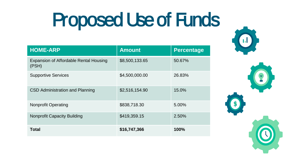### Proposed Use of Funds

| <b>HOME-ARP</b>                                 | <b>Amount</b>  | <b>Percentage</b> |
|-------------------------------------------------|----------------|-------------------|
| Expansion of Affordable Rental Housing<br>(PSH) | \$8,500,133.65 | 50.67%            |
| <b>Supportive Services</b>                      | \$4,500,000.00 | 26.83%            |
| CSD Administration and Planning                 | \$2,516,154.90 | 15.0%             |
| <b>Nonprofit Operating</b>                      | \$838,718.30   | 5.00%             |
| <b>Nonprofit Capacity Building</b>              | \$419,359.15   | 2.50%             |
| Total                                           | \$16,747,366   | 100%              |

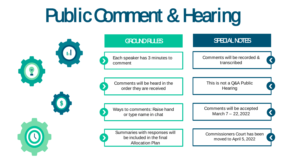### Public Comment & Hearing



#### GROUND RULES

Each speaker has 3 minutes to comment

Comments will be heard in the order they are received

Ways to comments: Raise hand or type name in chat

Summaries with responses will be included in the final Allocation Plan

Comments will be recorded & transcribed

SPECIAL NOTES

This is not a Q&A Public **Hearing** 

Comments will be accepted March 7 – 22, 2022

Commissioners Court has been moved to April 5, 2022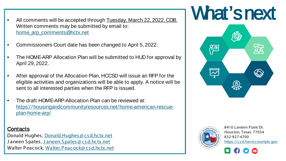- Written comments may be submitted by email to: [home\\_arp\\_comments@hctx.net](mailto:home_arp_comments@hctx.net)
- Commissioners Court date has been changed to April 5, 2022.
- The HOME-ARP Allocation Plan will be submitted to HUD for approval by April 29, 2022.
- After approval of the Allocation Plan, HCCSD will issue an RFP for the eligible activities and organizations will be able to apply. A notice will be sent to all interested parties when the RFP is issued.
- The draft HOME-ARP-Allocation Plan can be reviewed at: [https://housingandcommunityresources.net/home-american-rescue](https://housingandcommunityresources.net/home-american-rescue-plan-home-arp/)plan-home-arp/

#### Contacts

Donald Hughes , [Donald.Hughes @ cs d.hctx.net](mailto:Donald.Hughes@csd.hctx.net) Janeen Spates, Janeen. Spates @ csd.hctx.net Walter Peacock, [Walter.Peacock@ cs d.hctx.net](mailto:Walter.Peacock@csd.hctx.net)

### All comments will be accepted through Tuesday, March 22, 2022, COB. What's next





8410 Lantern Point Dr. Hous ton, Texas 77054 832-927-4700 [https ://cs d.harris countytx.gov](https://csd.harriscountytx.gov/)